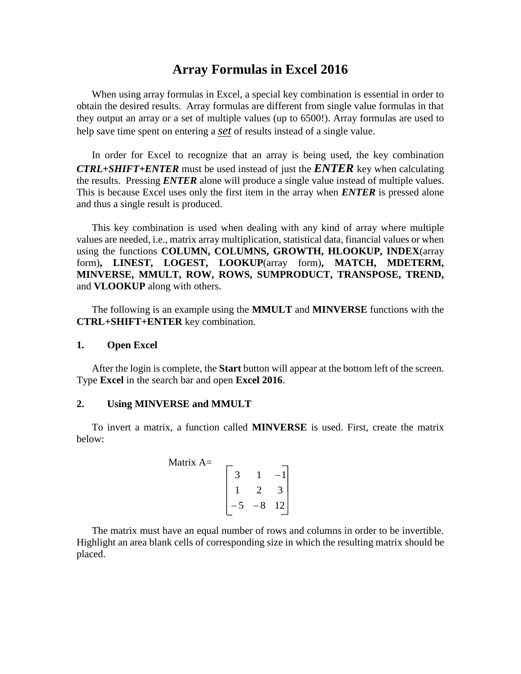# **Array Formulas in Excel 2016**

When using array formulas in Excel, a special key combination is essential in order to obtain the desired results. Array formulas are different from single value formulas in that they output an array or a set of multiple values (up to 6500!). Array formulas are used to help save time spent on entering a *set* of results instead of a single value.

In order for Excel to recognize that an array is being used, the key combination *CTRL+SHIFT+ENTER* must be used instead of just the *ENTER* key when calculating the results. Pressing *ENTER* alone will produce a single value instead of multiple values. This is because Excel uses only the first item in the array when *ENTER* is pressed alone and thus a single result is produced.

This key combination is used when dealing with any kind of array where multiple values are needed, i.e., matrix array multiplication, statistical data, financial values or when using the functions **COLUMN, COLUMNS, GROWTH, HLOOKUP, INDEX**(array form)**, LINEST, LOGEST, LOOKUP**(array form)**, MATCH, MDETERM, MINVERSE, MMULT, ROW, ROWS, SUMPRODUCT, TRANSPOSE, TREND,**  and **VLOOKUP** along with others.

The following is an example using the **MMULT** and **MINVERSE** functions with the **CTRL+SHIFT+ENTER** key combination.

### **1. Open Excel**

After the login is complete, the **Start** button will appear at the bottom left of the screen. Type **Excel** in the search bar and open **Excel 2016**.

## **2. Using MINVERSE and MMULT**

To invert a matrix, a function called **MINVERSE** is used. First, create the matrix below:

Matrix A=  

$$
\begin{bmatrix} 3 & 1 & -1 \\ 1 & 2 & 3 \\ -5 & -8 & 12 \end{bmatrix}
$$

The matrix must have an equal number of rows and columns in order to be invertible. Highlight an area blank cells of corresponding size in which the resulting matrix should be placed.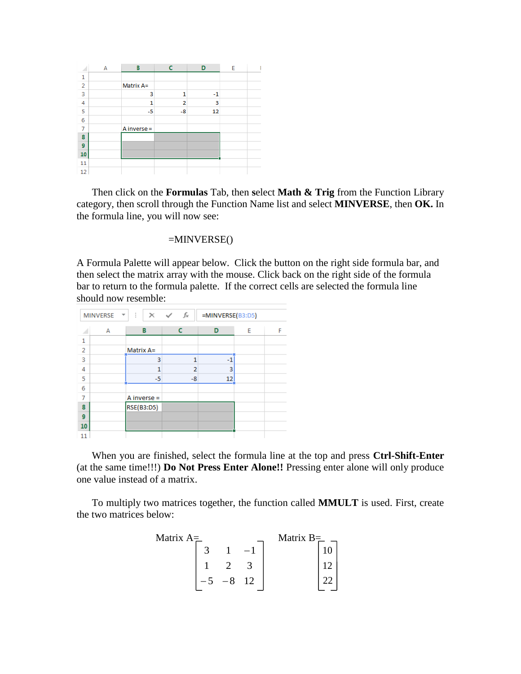|                | А | В             | c              | D    | E |  |
|----------------|---|---------------|----------------|------|---|--|
| 1              |   |               |                |      |   |  |
| $\overline{2}$ |   | Matrix A=     |                |      |   |  |
| 3              |   | 3             | 1              | $-1$ |   |  |
| 4              |   | 1             | $\overline{2}$ | 3    |   |  |
| 5              |   | $-5$          | $-8$           | 12   |   |  |
| 6              |   |               |                |      |   |  |
| 7              |   | A inverse $=$ |                |      |   |  |
| 8              |   |               |                |      |   |  |
| 9              |   |               |                |      |   |  |
| 10             |   |               |                |      |   |  |
| 11             |   |               |                |      |   |  |
| 12             |   |               |                |      |   |  |

Then click on the **Formulas** Tab, then **s**elect **Math & Trig** from the Function Library category, then scroll through the Function Name list and select **MINVERSE**, then **OK.** In the formula line, you will now see:

## $=MINVERSE()$

A Formula Palette will appear below. Click the button on the right side formula bar, and then select the matrix array with the mouse. Click back on the right side of the formula bar to return to the formula palette. If the correct cells are selected the formula line should now resemble:

|                | <b>MINVERSE</b> | ÷<br>v | $\times$ $\checkmark$ | fx             | =MINVERSE(B3:D5) |   |   |
|----------------|-----------------|--------|-----------------------|----------------|------------------|---|---|
|                | А               |        | в                     | c              | D                | E | F |
| 1              |                 |        |                       |                |                  |   |   |
| $\overline{2}$ |                 |        | Matrix A=             |                |                  |   |   |
| 3              |                 |        | 3                     | 1              | $-1$             |   |   |
| 4              |                 |        | 1                     | $\overline{2}$ | 3                |   |   |
| 5              |                 |        | $-5$                  | -8             | 12               |   |   |
| 6              |                 |        |                       |                |                  |   |   |
| 7              |                 |        | A inverse $=$         |                |                  |   |   |
| 8              |                 |        | <b>RSE(B3:D5)</b>     |                |                  |   |   |
| 9              |                 |        |                       |                |                  |   |   |
| 10             |                 |        |                       |                |                  |   |   |
| 11             |                 |        |                       |                |                  |   |   |

When you are finished, select the formula line at the top and press **Ctrl-Shift-Enter** (at the same time!!!) **Do Not Press Enter Alone!!** Pressing enter alone will only produce one value instead of a matrix.

To multiply two matrices together, the function called **MMULT** is used. First, create the two matrices below:

| Matrix $A=$ |  |    | Matrix $B=$ |  |
|-------------|--|----|-------------|--|
|             |  |    |             |  |
|             |  |    |             |  |
|             |  | 12 |             |  |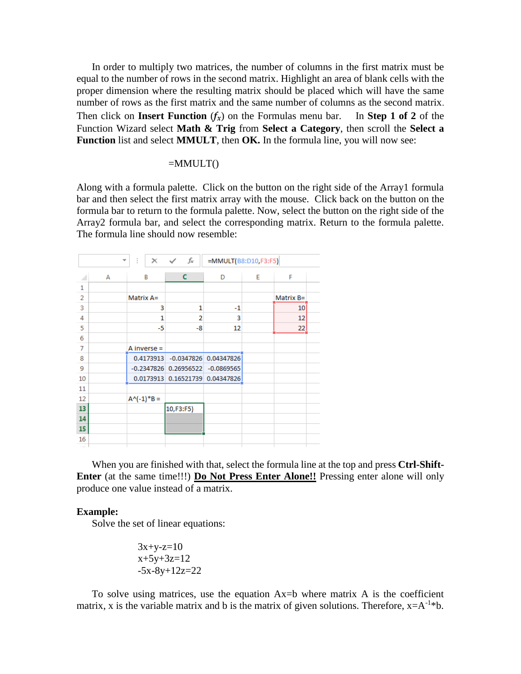In order to multiply two matrices, the number of columns in the first matrix must be equal to the number of rows in the second matrix. Highlight an area of blank cells with the proper dimension where the resulting matrix should be placed which will have the same number of rows as the first matrix and the same number of columns as the second matrix. Then click on **Insert Function**  $(f_x)$  on the Formulas menu bar. In Step 1 of 2 of the Function Wizard select **Math & Trig** from **Select a Category**, then scroll the **Select a Function** list and select **MMULT**, then **OK.** In the formula line, you will now see:

$$
= MMULT()
$$

Along with a formula palette. Click on the button on the right side of the Array1 formula bar and then select the first matrix array with the mouse. Click back on the button on the formula bar to return to the formula palette. Now, select the button on the right side of the Array2 formula bar, and select the corresponding matrix. Return to the formula palette. The formula line should now resemble:

|                |   | ÷<br>$\overline{\phantom{a}}$ |               | $\times$ $\checkmark$ | fx | =MMULT(B8:D10,F3:F5)                 |   |           |  |
|----------------|---|-------------------------------|---------------|-----------------------|----|--------------------------------------|---|-----------|--|
| ⊿              | А |                               | B             | c.                    |    | D                                    | E | F         |  |
| 1              |   |                               |               |                       |    |                                      |   |           |  |
| 2              |   |                               | Matrix A=     |                       |    |                                      |   | Matrix B= |  |
| 3              |   |                               | 3             |                       | 1  | $-1$                                 |   | 10        |  |
| $\overline{A}$ |   |                               | 1             |                       | 2  | 3                                    |   | 12        |  |
| 5              |   |                               | -5            |                       | -8 | 12                                   |   | 22        |  |
| 6              |   |                               |               |                       |    |                                      |   |           |  |
| 7              |   |                               | A inverse =   |                       |    |                                      |   |           |  |
| 8              |   |                               |               |                       |    | 0.4173913 -0.0347826 0.04347826      |   |           |  |
| 9              |   |                               |               |                       |    | $-0.2347826$ 0.26956522 $-0.0869565$ |   |           |  |
| 10             |   |                               |               |                       |    | 0.0173913 0.16521739 0.04347826      |   |           |  |
| 11             |   |                               |               |                       |    |                                      |   |           |  |
| 12             |   |                               | $A^(-1)^*B =$ |                       |    |                                      |   |           |  |
| 13             |   |                               |               | 10,F3:F5)             |    |                                      |   |           |  |
| 14             |   |                               |               |                       |    |                                      |   |           |  |
| 15             |   |                               |               |                       |    |                                      |   |           |  |
| 16             |   |                               |               |                       |    |                                      |   |           |  |
|                |   |                               |               |                       |    |                                      |   |           |  |

When you are finished with that, select the formula line at the top and press **Ctrl-Shift-Enter** (at the same time!!!) **Do Not Press Enter Alone!!** Pressing enter alone will only produce one value instead of a matrix.

### **Example:**

Solve the set of linear equations:

$$
3x+y-z=10\nx+5y+3z=12\n-5x-8y+12z=22
$$

To solve using matrices, use the equation Ax=b where matrix A is the coefficient matrix, x is the variable matrix and b is the matrix of given solutions. Therefore,  $x = A^{-1}*b$ .